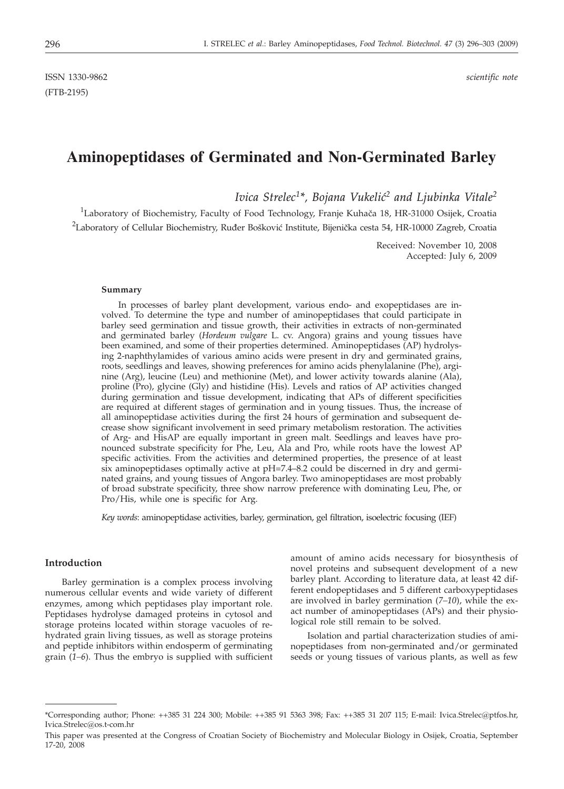ISSN 1330-9862 *scientific note* (FTB-2195)

# **Aminopeptidases of Germinated and Non-Germinated Barley**

*Ivica Strelec<sup>1\*</sup>, Bojana Vukelić<sup>2</sup> and Ljubinka Vitale<sup>2</sup>* 

<sup>1</sup>Laboratory of Biochemistry, Faculty of Food Technology, Franje Kuhača 18, HR-31000 Osijek, Croatia  $^2$ Laboratory of Cellular Biochemistry, Ruđer Bošković Institute, Bijenička cesta 54, HR-10000 Zagreb, Croatia

> Received: November 10, 2008 Accepted: July 6, 2009

#### **Summary**

In processes of barley plant development, various endo- and exopeptidases are involved. To determine the type and number of aminopeptidases that could participate in barley seed germination and tissue growth, their activities in extracts of non-germinated and germinated barley (*Hordeum vulgare* L. cv. Angora) grains and young tissues have been examined, and some of their properties determined. Aminopeptidases (AP) hydrolysing 2-naphthylamides of various amino acids were present in dry and germinated grains, roots, seedlings and leaves, showing preferences for amino acids phenylalanine (Phe), arginine (Arg), leucine (Leu) and methionine (Met), and lower activity towards alanine (Ala), proline (Pro), glycine (Gly) and histidine (His). Levels and ratios of AP activities changed during germination and tissue development, indicating that APs of different specificities are required at different stages of germination and in young tissues. Thus, the increase of all aminopeptidase activities during the first 24 hours of germination and subsequent decrease show significant involvement in seed primary metabolism restoration. The activities of Arg- and HisAP are equally important in green malt. Seedlings and leaves have pronounced substrate specificity for Phe, Leu, Ala and Pro, while roots have the lowest AP specific activities. From the activities and determined properties, the presence of at least six aminopeptidases optimally active at pH=7.4–8.2 could be discerned in dry and germinated grains, and young tissues of Angora barley. Two aminopeptidases are most probably of broad substrate specificity, three show narrow preference with dominating Leu, Phe, or Pro/His, while one is specific for Arg.

*Key words*: aminopeptidase activities, barley, germination, gel filtration, isoelectric focusing (IEF)

#### **Introduction**

Barley germination is a complex process involving numerous cellular events and wide variety of different enzymes, among which peptidases play important role. Peptidases hydrolyse damaged proteins in cytosol and storage proteins located within storage vacuoles of rehydrated grain living tissues, as well as storage proteins and peptide inhibitors within endosperm of germinating grain (*1–6*). Thus the embryo is supplied with sufficient amount of amino acids necessary for biosynthesis of novel proteins and subsequent development of a new barley plant. According to literature data, at least 42 different endopeptidases and 5 different carboxypeptidases are involved in barley germination (*7–10*), while the exact number of aminopeptidases (APs) and their physiological role still remain to be solved.

Isolation and partial characterization studies of aminopeptidases from non-germinated and/or germinated seeds or young tissues of various plants, as well as few

<sup>\*</sup>Corresponding author; Phone: ++385 31 224 300; Mobile: ++385 91 5363 398; Fax: ++385 31 207 115; E-mail: Ivica.Strelec@ptfos.hr, Ivica.Strelec@os.t-com.hr

This paper was presented at the Congress of Croatian Society of Biochemistry and Molecular Biology in Osijek, Croatia, September 17-20, 2008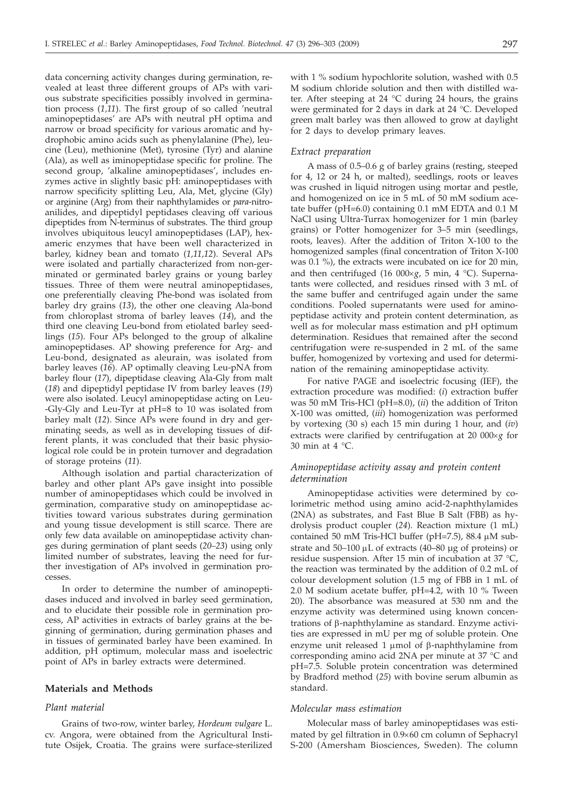data concerning activity changes during germination, revealed at least three different groups of APs with various substrate specificities possibly involved in germination process (*1,11*). The first group of so called 'neutral aminopeptidases' are APs with neutral pH optima and narrow or broad specificity for various aromatic and hydrophobic amino acids such as phenylalanine (Phe), leucine (Leu), methionine (Met), tyrosine (Tyr) and alanine (Ala), as well as iminopeptidase specific for proline. The second group, 'alkaline aminopeptidases', includes enzymes active in slightly basic pH: aminopeptidases with narrow specificity splitting Leu, Ala, Met, glycine (Gly) or arginine (Arg) from their naphthylamides or *para*-nitroanilides, and dipeptidyl peptidases cleaving off various dipeptides from N-terminus of substrates. The third group involves ubiquitous leucyl aminopeptidases (LAP), hexameric enzymes that have been well characterized in barley, kidney bean and tomato (*1,11,12*). Several APs were isolated and partially characterized from non-germinated or germinated barley grains or young barley tissues. Three of them were neutral aminopeptidases, one preferentially cleaving Phe-bond was isolated from barley dry grains (*13*), the other one cleaving Ala-bond from chloroplast stroma of barley leaves (*14*), and the third one cleaving Leu-bond from etiolated barley seedlings (*15*). Four APs belonged to the group of alkaline aminopeptidases. AP showing preference for Arg- and Leu-bond, designated as aleurain, was isolated from barley leaves (*16*). AP optimally cleaving Leu-pNA from barley flour (*17*), dipeptidase cleaving Ala-Gly from malt (*18*) and dipeptidyl peptidase IV from barley leaves (*19*) were also isolated. Leucyl aminopeptidase acting on Leu- -Gly-Gly and Leu-Tyr at pH=8 to 10 was isolated from barley malt (*12*). Since APs were found in dry and germinating seeds, as well as in developing tissues of different plants, it was concluded that their basic physiological role could be in protein turnover and degradation of storage proteins (*11*).

Although isolation and partial characterization of barley and other plant APs gave insight into possible number of aminopeptidases which could be involved in germination, comparative study on aminopeptidase activities toward various substrates during germination and young tissue development is still scarce. There are only few data available on aminopeptidase activity changes during germination of plant seeds (*20–23*) using only limited number of substrates, leaving the need for further investigation of APs involved in germination processes.

In order to determine the number of aminopeptidases induced and involved in barley seed germination, and to elucidate their possible role in germination process, AP activities in extracts of barley grains at the beginning of germination, during germination phases and in tissues of germinated barley have been examined. In addition, pH optimum, molecular mass and isoelectric point of APs in barley extracts were determined.

## **Materials and Methods**

## *Plant material*

Grains of two-row, winter barley, *Hordeum vulgare* L. cv. Angora, were obtained from the Agricultural Institute Osijek, Croatia. The grains were surface-sterilized

with 1 % sodium hypochlorite solution, washed with 0.5 M sodium chloride solution and then with distilled water. After steeping at 24  $^{\circ}$ C during 24 hours, the grains were germinated for 2 days in dark at 24 °C. Developed green malt barley was then allowed to grow at daylight for 2 days to develop primary leaves.

## *Extract preparation*

A mass of 0.5–0.6 g of barley grains (resting, steeped for 4, 12 or 24 h, or malted), seedlings, roots or leaves was crushed in liquid nitrogen using mortar and pestle, and homogenized on ice in 5 mL of 50 mM sodium acetate buffer (pH=6.0) containing 0.1 mM EDTA and 0.1 M NaCl using Ultra-Turrax homogenizer for 1 min (barley grains) or Potter homogenizer for 3–5 min (seedlings, roots, leaves). After the addition of Triton X-100 to the homogenized samples (final concentration of Triton X-100 was 0.1 %), the extracts were incubated on ice for 20 min, and then centrifuged (16 000×g, 5 min, 4 °C). Supernatants were collected, and residues rinsed with 3 mL of the same buffer and centrifuged again under the same conditions. Pooled supernatants were used for aminopeptidase activity and protein content determination, as well as for molecular mass estimation and pH optimum determination. Residues that remained after the second centrifugation were re-suspended in 2 mL of the same buffer, homogenized by vortexing and used for determination of the remaining aminopeptidase activity.

For native PAGE and isoelectric focusing (IEF), the extraction procedure was modified: (*i*) extraction buffer was 50 mM Tris-HCl (pH=8.0), (*ii*) the addition of Triton X-100 was omitted, (*iii*) homogenization was performed by vortexing (30 s) each 15 min during 1 hour, and (*iv*) extracts were clarified by centrifugation at 20 000×g for 30 min at 4 °C.

# *Aminopeptidase activity assay and protein content determination*

Aminopeptidase activities were determined by colorimetric method using amino acid-2-naphthylamides (2NA) as substrates, and Fast Blue B Salt (FBB) as hydrolysis product coupler (*24*). Reaction mixture (1 mL) contained 50 mM Tris-HCl buffer (pH=7.5), 88.4  $\mu$ M substrate and  $50-100 \mu L$  of extracts (40–80 µg of proteins) or residue suspension. After 15 min of incubation at 37 °C, the reaction was terminated by the addition of 0.2 mL of colour development solution (1.5 mg of FBB in 1 mL of 2.0 M sodium acetate buffer, pH=4.2, with 10 % Tween 20). The absorbance was measured at 530 nm and the enzyme activity was determined using known concentrations of b-naphthylamine as standard. Enzyme activities are expressed in mU per mg of soluble protein. One enzyme unit released 1  $\mu$ mol of  $\beta$ -naphthylamine from corresponding amino acid 2NA per minute at 37 °C and pH=7.5. Soluble protein concentration was determined by Bradford method (*25*) with bovine serum albumin as standard.

#### *Molecular mass estimation*

Molecular mass of barley aminopeptidases was estimated by gel filtration in  $0.9\times 60$  cm column of Sephacryl S-200 (Amersham Biosciences, Sweden). The column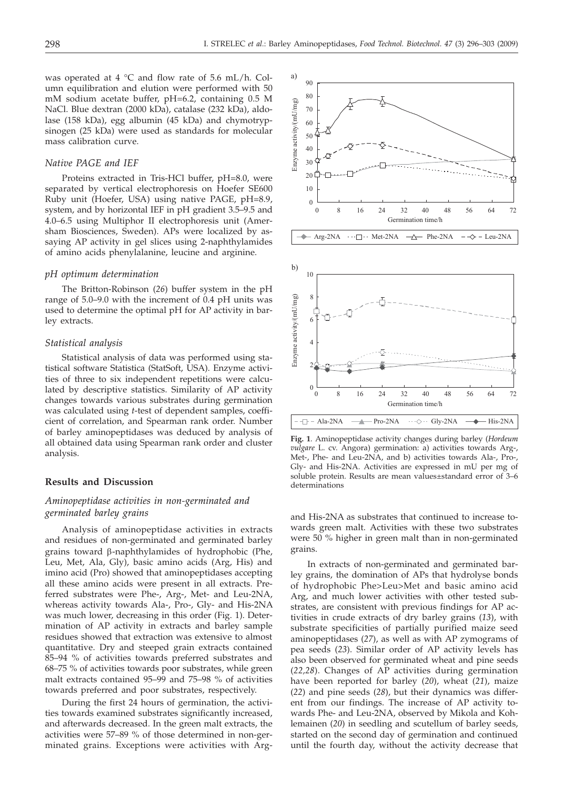was operated at 4  $^{\circ}$ C and flow rate of 5.6 mL/h. Column equilibration and elution were performed with 50 mM sodium acetate buffer, pH=6.2, containing 0.5 M NaCl. Blue dextran (2000 kDa), catalase (232 kDa), aldolase (158 kDa), egg albumin (45 kDa) and chymotrypsinogen (25 kDa) were used as standards for molecular mass calibration curve.

# *Native PAGE and IEF*

Proteins extracted in Tris-HCl buffer, pH=8.0, were separated by vertical electrophoresis on Hoefer SE600 Ruby unit (Hoefer, USA) using native PAGE, pH=8.9, system, and by horizontal IEF in pH gradient 3.5–9.5 and 4.0–6.5 using Multiphor II electrophoresis unit (Amersham Biosciences, Sweden). APs were localized by assaying AP activity in gel slices using 2-naphthylamides of amino acids phenylalanine, leucine and arginine.

#### *pH optimum determination*

The Britton-Robinson (*26*) buffer system in the pH range of 5.0–9.0 with the increment of 0.4 pH units was used to determine the optimal pH for AP activity in barley extracts.

#### *Statistical analysis*

Statistical analysis of data was performed using statistical software Statistica (StatSoft, USA). Enzyme activities of three to six independent repetitions were calculated by descriptive statistics. Similarity of AP activity changes towards various substrates during germination was calculated using *t*-test of dependent samples, coefficient of correlation, and Spearman rank order. Number of barley aminopeptidases was deduced by analysis of all obtained data using Spearman rank order and cluster analysis.

## **Results and Discussion**

# *Aminopeptidase activities in non-germinated and germinated barley grains*

Analysis of aminopeptidase activities in extracts and residues of non-germinated and germinated barley grains toward b-naphthylamides of hydrophobic (Phe, Leu, Met, Ala, Gly), basic amino acids (Arg, His) and imino acid (Pro) showed that aminopeptidases accepting all these amino acids were present in all extracts. Preferred substrates were Phe-, Arg-, Met- and Leu-2NA, whereas activity towards Ala-, Pro-, Gly- and His-2NA was much lower, decreasing in this order (Fig. 1). Determination of AP activity in extracts and barley sample residues showed that extraction was extensive to almost quantitative. Dry and steeped grain extracts contained 85–94 % of activities towards preferred substrates and 68–75 % of activities towards poor substrates, while green malt extracts contained 95–99 and 75–98 % of activities towards preferred and poor substrates, respectively.

During the first 24 hours of germination, the activities towards examined substrates significantly increased, and afterwards decreased. In the green malt extracts, the activities were 57–89 % of those determined in non-germinated grains. Exceptions were activities with Arg-



**Fig. 1**. Aminopeptidase activity changes during barley (*Hordeum vulgare* L. cv. Angora) germination: a) activities towards Arg-, Met-, Phe- and Leu-2NA, and b) activities towards Ala-, Pro-, Gly- and His-2NA. Activities are expressed in mU per mg of soluble protein. Results are mean values±standard error of 3–6 determinations

and His-2NA as substrates that continued to increase towards green malt. Activities with these two substrates were 50 % higher in green malt than in non-germinated grains.

In extracts of non-germinated and germinated barley grains, the domination of APs that hydrolyse bonds of hydrophobic Phe>Leu>Met and basic amino acid Arg, and much lower activities with other tested substrates, are consistent with previous findings for AP activities in crude extracts of dry barley grains (*13*), with substrate specificities of partially purified maize seed aminopeptidases (*27*), as well as with AP zymograms of pea seeds (*23*). Similar order of AP activity levels has also been observed for germinated wheat and pine seeds (*22,28*). Changes of AP activities during germination have been reported for barley (*20*), wheat (*21*), maize (*22*) and pine seeds (*28*), but their dynamics was different from our findings. The increase of AP activity towards Phe- and Leu-2NA, observed by Mikola and Kohlemainen (*20*) in seedling and scutellum of barley seeds, started on the second day of germination and continued until the fourth day, without the activity decrease that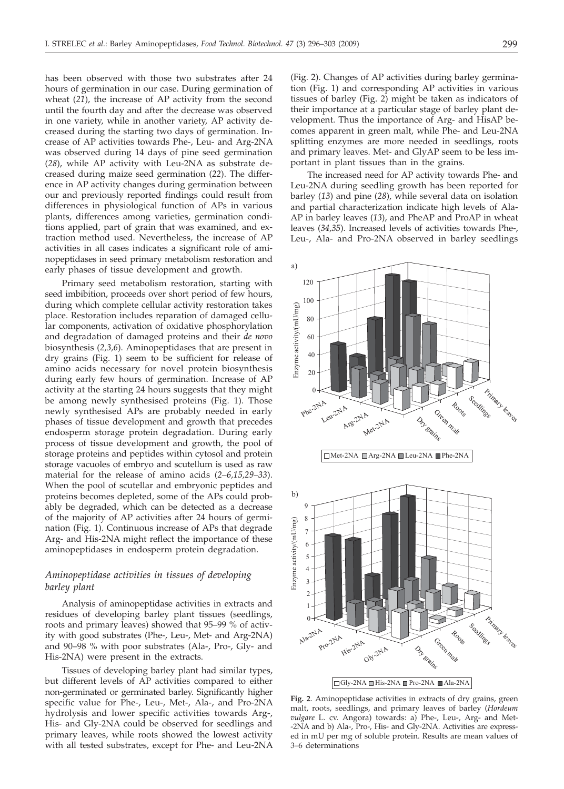has been observed with those two substrates after 24 hours of germination in our case. During germination of wheat (*21*), the increase of AP activity from the second until the fourth day and after the decrease was observed in one variety, while in another variety, AP activity decreased during the starting two days of germination. Increase of AP activities towards Phe-, Leu- and Arg-2NA was observed during 14 days of pine seed germination (*28*), while AP activity with Leu-2NA as substrate decreased during maize seed germination (*22*). The difference in AP activity changes during germination between our and previously reported findings could result from differences in physiological function of APs in various plants, differences among varieties, germination conditions applied, part of grain that was examined, and extraction method used. Nevertheless, the increase of AP activities in all cases indicates a significant role of aminopeptidases in seed primary metabolism restoration and early phases of tissue development and growth.

Primary seed metabolism restoration, starting with seed imbibition, proceeds over short period of few hours, during which complete cellular activity restoration takes place. Restoration includes reparation of damaged cellular components, activation of oxidative phosphorylation and degradation of damaged proteins and their *de novo* biosynthesis (*2,3,6*). Aminopeptidases that are present in dry grains (Fig. 1) seem to be sufficient for release of amino acids necessary for novel protein biosynthesis during early few hours of germination. Increase of AP activity at the starting 24 hours suggests that they might be among newly synthesised proteins (Fig. 1). Those newly synthesised APs are probably needed in early phases of tissue development and growth that precedes endosperm storage protein degradation. During early process of tissue development and growth, the pool of storage proteins and peptides within cytosol and protein storage vacuoles of embryo and scutellum is used as raw material for the release of amino acids (*2–6,15,29–33*). When the pool of scutellar and embryonic peptides and proteins becomes depleted, some of the APs could probably be degraded, which can be detected as a decrease of the majority of AP activities after 24 hours of germination (Fig. 1). Continuous increase of APs that degrade Arg- and His-2NA might reflect the importance of these aminopeptidases in endosperm protein degradation.

# *Aminopeptidase activities in tissues of developing barley plant*

Analysis of aminopeptidase activities in extracts and residues of developing barley plant tissues (seedlings, roots and primary leaves) showed that 95–99 % of activity with good substrates (Phe-, Leu-, Met- and Arg-2NA) and 90–98 % with poor substrates (Ala-, Pro-, Gly- and His-2NA) were present in the extracts.

Tissues of developing barley plant had similar types, but different levels of AP activities compared to either non-germinated or germinated barley. Significantly higher specific value for Phe-, Leu-, Met-, Ala-, and Pro-2NA hydrolysis and lower specific activities towards Arg-, His- and Gly-2NA could be observed for seedlings and primary leaves, while roots showed the lowest activity with all tested substrates, except for Phe- and Leu-2NA (Fig. 2). Changes of AP activities during barley germination (Fig. 1) and corresponding AP activities in various tissues of barley (Fig. 2) might be taken as indicators of their importance at a particular stage of barley plant development. Thus the importance of Arg- and HisAP becomes apparent in green malt, while Phe- and Leu-2NA splitting enzymes are more needed in seedlings, roots and primary leaves. Met- and GlyAP seem to be less important in plant tissues than in the grains.

The increased need for AP activity towards Phe- and Leu-2NA during seedling growth has been reported for barley (*13*) and pine (*28*), while several data on isolation and partial characterization indicate high levels of Ala-AP in barley leaves (*13*), and PheAP and ProAP in wheat leaves (*34,35*). Increased levels of activities towards Phe-, Leu-, Ala- and Pro-2NA observed in barley seedlings



**Fig. 2**. Aminopeptidase activities in extracts of dry grains, green malt, roots, seedlings, and primary leaves of barley (*Hordeum vulgare* L. cv. Angora) towards: a) Phe-, Leu-, Arg- and Met- -2NA and b) Ala-, Pro-, His- and Gly-2NA. Activities are expressed in mU per mg of soluble protein. Results are mean values of 3–6 determinations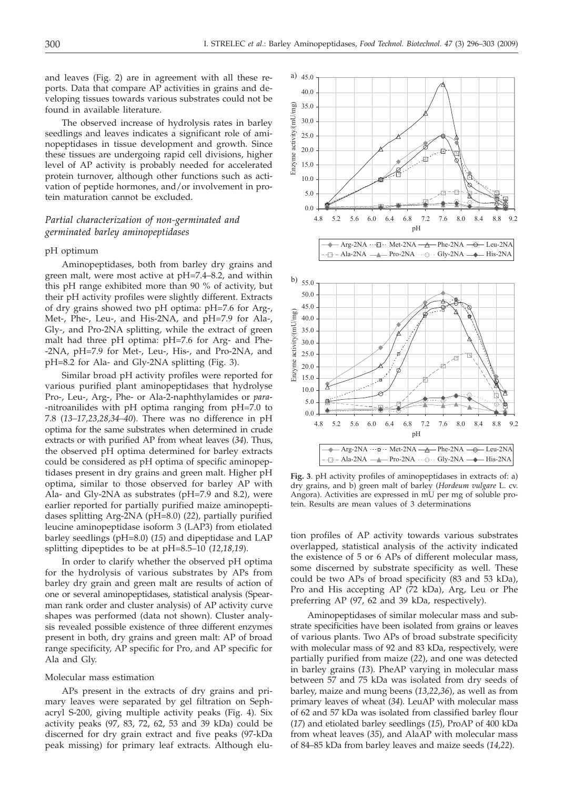and leaves (Fig. 2) are in agreement with all these reports. Data that compare AP activities in grains and developing tissues towards various substrates could not be found in available literature.

The observed increase of hydrolysis rates in barley seedlings and leaves indicates a significant role of aminopeptidases in tissue development and growth. Since these tissues are undergoing rapid cell divisions, higher level of AP activity is probably needed for accelerated protein turnover, although other functions such as activation of peptide hormones, and/or involvement in protein maturation cannot be excluded.

# *Partial characterization of non-germinated and germinated barley aminopeptidases*

### pH optimum

Aminopeptidases, both from barley dry grains and green malt, were most active at pH=7.4–8.2, and within this pH range exhibited more than 90 % of activity, but their pH activity profiles were slightly different. Extracts of dry grains showed two pH optima: pH=7.6 for Arg-, Met-, Phe-, Leu-, and His-2NA, and pH=7.9 for Ala-, Gly-, and Pro-2NA splitting, while the extract of green malt had three pH optima: pH=7.6 for Arg- and Phe- -2NA, pH=7.9 for Met-, Leu-, His-, and Pro-2NA, and pH=8.2 for Ala- and Gly-2NA splitting (Fig. 3).

Similar broad pH activity profiles were reported for various purified plant aminopeptidases that hydrolyse Pro-, Leu-, Arg-, Phe- or Ala-2-naphthylamides or *para*- -nitroanilides with pH optima ranging from pH=7.0 to 7.8 (*13–17,23,28,34–40*). There was no difference in pH optima for the same substrates when determined in crude extracts or with purified AP from wheat leaves (*34*). Thus, the observed pH optima determined for barley extracts could be considered as pH optima of specific aminopeptidases present in dry grains and green malt. Higher pH optima, similar to those observed for barley AP with Ala- and Gly-2NA as substrates (pH=7.9 and 8.2), were earlier reported for partially purified maize aminopeptidases splitting Arg-2NA (pH=8.0) (*22*), partially purified leucine aminopeptidase isoform 3 (LAP3) from etiolated barley seedlings (pH=8.0) (*15*) and dipeptidase and LAP splitting dipeptides to be at pH=8.5–10 (*12,18,19*).

In order to clarify whether the observed pH optima for the hydrolysis of various substrates by APs from barley dry grain and green malt are results of action of one or several aminopeptidases, statistical analysis (Spearman rank order and cluster analysis) of AP activity curve shapes was performed (data not shown). Cluster analysis revealed possible existence of three different enzymes present in both, dry grains and green malt: AP of broad range specificity, AP specific for Pro, and AP specific for Ala and Gly.

#### Molecular mass estimation

APs present in the extracts of dry grains and primary leaves were separated by gel filtration on Sephacryl S-200, giving multiple activity peaks (Fig. 4). Six activity peaks (97, 83, 72, 62, 53 and 39 kDa) could be discerned for dry grain extract and five peaks (97-kDa peak missing) for primary leaf extracts. Although elu-





**Fig. 3**. pH activity profiles of aminopeptidases in extracts of: a) dry grains, and b) green malt of barley (*Hordeum vulgare* L. cv. Angora). Activities are expressed in mU per mg of soluble protein. Results are mean values of 3 determinations

tion profiles of AP activity towards various substrates overlapped, statistical analysis of the activity indicated the existence of 5 or 6 APs of different molecular mass, some discerned by substrate specificity as well. These could be two APs of broad specificity (83 and 53 kDa), Pro and His accepting AP (72 kDa), Arg, Leu or Phe preferring AP (97, 62 and 39 kDa, respectively).

Aminopeptidases of similar molecular mass and substrate specificities have been isolated from grains or leaves of various plants. Two APs of broad substrate specificity with molecular mass of 92 and 83 kDa, respectively, were partially purified from maize (*22*), and one was detected in barley grains (*13*). PheAP varying in molecular mass between 57 and 75 kDa was isolated from dry seeds of barley, maize and mung beens (*13,22,36*), as well as from primary leaves of wheat (*34*). LeuAP with molecular mass of 62 and 57 kDa was isolated from classified barley flour (*17*) and etiolated barley seedlings (*15*), ProAP of 400 kDa from wheat leaves (*35*), and AlaAP with molecular mass of 84–85 kDa from barley leaves and maize seeds (*14,22*).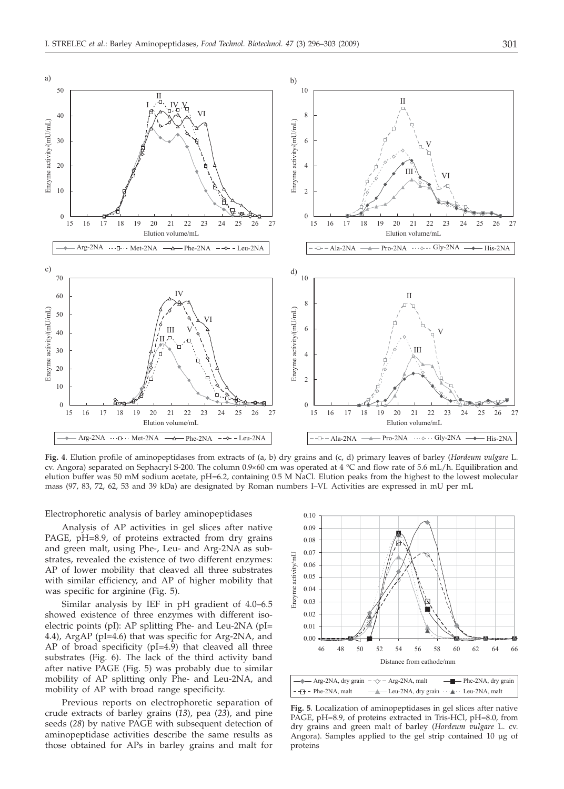a)





**Fig. 4**. Elution profile of aminopeptidases from extracts of (a, b) dry grains and (c, d) primary leaves of barley (*Hordeum vulgare* L. cv. Angora) separated on Sephacryl S-200. The column  $0.9\times60$  cm was operated at 4 °C and flow rate of 5.6 mL/h. Equilibration and elution buffer was 50 mM sodium acetate, pH=6.2, containing 0.5 M NaCl. Elution peaks from the highest to the lowest molecular mass (97, 83, 72, 62, 53 and 39 kDa) are designated by Roman numbers I–VI. Activities are expressed in mU per mL

Electrophoretic analysis of barley aminopeptidases

Analysis of AP activities in gel slices after native PAGE, pH=8.9, of proteins extracted from dry grains and green malt, using Phe-, Leu- and Arg-2NA as substrates, revealed the existence of two different enzymes: AP of lower mobility that cleaved all three substrates with similar efficiency, and AP of higher mobility that was specific for arginine (Fig. 5).

Similar analysis by IEF in pH gradient of 4.0–6.5 showed existence of three enzymes with different isoelectric points (pI): AP splitting Phe- and Leu-2NA (pI= 4.4), ArgAP (pI=4.6) that was specific for Arg-2NA, and AP of broad specificity (pI=4.9) that cleaved all three substrates (Fig. 6). The lack of the third activity band after native PAGE (Fig. 5) was probably due to similar mobility of AP splitting only Phe- and Leu-2NA, and mobility of AP with broad range specificity.

Previous reports on electrophoretic separation of crude extracts of barley grains (*13*), pea (*23*), and pine seeds (*28*) by native PAGE with subsequent detection of aminopeptidase activities describe the same results as those obtained for APs in barley grains and malt for



- $\rightarrow$  Phe-2NA, malt  $\rightarrow$  Leu-2NA, dry grain  $\rightarrow$  Leu-2NA, malt

**Fig. 5**. Localization of aminopeptidases in gel slices after native PAGE, pH=8.9, of proteins extracted in Tris-HCl, pH=8.0, from dry grains and green malt of barley (*Hordeum vulgare* L. cv. Angora). Samples applied to the gel strip contained 10 μg of proteins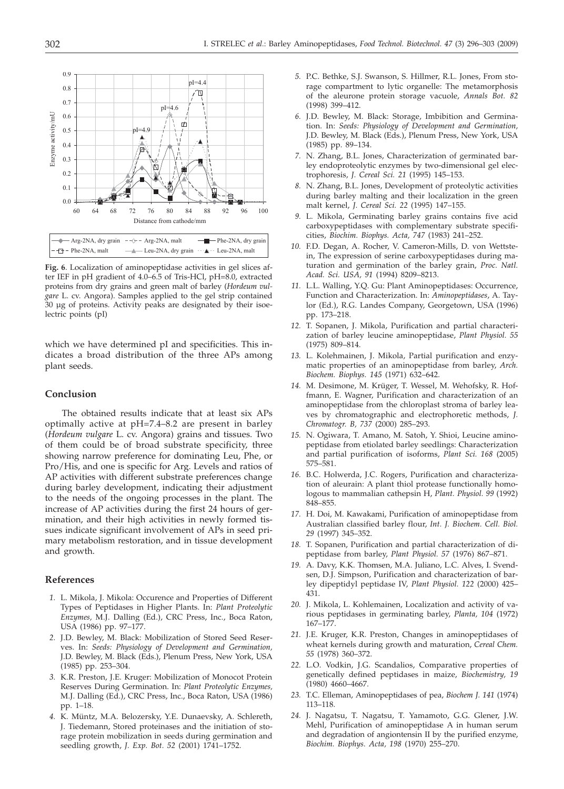

**Fig. 6**. Localization of aminopeptidase activities in gel slices after IEF in pH gradient of 4.0–6.5 of Tris-HCl, pH=8.0, extracted proteins from dry grains and green malt of barley (*Hordeum vulgare* L. cv. Angora). Samples applied to the gel strip contained 30 μg of proteins. Activity peaks are designated by their isoelectric points (pI)

which we have determined pI and specificities. This indicates a broad distribution of the three APs among plant seeds.

#### **Conclusion**

The obtained results indicate that at least six APs optimally active at pH=7.4–8.2 are present in barley (*Hordeum vulgare* L. cv. Angora) grains and tissues. Two of them could be of broad substrate specificity, three showing narrow preference for dominating Leu, Phe, or Pro/His, and one is specific for Arg. Levels and ratios of AP activities with different substrate preferences change during barley development, indicating their adjustment to the needs of the ongoing processes in the plant. The increase of AP activities during the first 24 hours of germination, and their high activities in newly formed tissues indicate significant involvement of APs in seed primary metabolism restoration, and in tissue development and growth.

### **References**

- *1.* L. Mikola, J. Mikola: Occurence and Properties of Different Types of Peptidases in Higher Plants. In: *Plant Proteolytic Enzymes,* M.J. Dalling (Ed.), CRC Press, Inc., Boca Raton, USA (1986) pp. 97–177.
- *2.* J.D. Bewley, M. Black: Mobilization of Stored Seed Reserves. In: *Seeds: Physiology of Development and Germination,* J.D. Bewley, M. Black (Eds.), Plenum Press, New York, USA (1985) pp. 253–304.
- *3.* K.R. Preston, J.E. Kruger: Mobilization of Monocot Protein Reserves During Germination. In: *Plant Proteolytic Enzymes,* M.J. Dalling (Ed.), CRC Press, Inc., Boca Raton, USA (1986) pp. 1–18.
- *4.* K. Müntz, M.A. Belozersky, Y.E. Dunaevsky, A. Schlereth, J. Tiedemann, Stored proteinases and the initiation of storage protein mobilization in seeds during germination and seedling growth, *J. Exp. Bot. 52* (2001) 1741–1752.
- *5.* P.C. Bethke, S.J. Swanson, S. Hillmer, R.L. Jones, From storage compartment to lytic organelle: The metamorphosis of the aleurone protein storage vacuole, *Annals Bot. 82* (1998) 399–412.
- *6.* J.D. Bewley, M. Black: Storage, Imbibition and Germination. In: *Seeds: Physiology of Development and Germination,* J.D. Bewley, M. Black (Eds.), Plenum Press, New York, USA (1985) pp. 89–134.
- *7.* N. Zhang, B.L. Jones, Characterization of germinated barley endoproteolytic enzymes by two-dimensional gel electrophoresis, *J. Cereal Sci. 21* (1995) 145–153.
- *8.* N. Zhang, B.L. Jones, Development of proteolytic activities during barley malting and their localization in the green malt kernel, *J. Cereal Sci. 22* (1995) 147–155.
- *9.* L. Mikola, Germinating barley grains contains five acid carboxypeptidases with complementary substrate specificities, *Biochim. Biophys. Acta, 747* (1983) 241–252.
- *10.* F.D. Degan, A. Rocher, V. Cameron-Mills, D. von Wettstein, The expression of serine carboxypeptidases during maturation and germination of the barley grain, *Proc. Natl. Acad. Sci. USA, 91* (1994) 8209–8213.
- *11.* L.L. Walling, Y.Q. Gu: Plant Aminopeptidases: Occurrence, Function and Characterization. In: *Aminopeptidases*, A. Taylor (Ed.), R.G. Landes Company, Georgetown, USA (1996) pp. 173–218.
- *12.* T. Sopanen, J. Mikola, Purification and partial characterization of barley leucine aminopeptidase, *Plant Physiol. 55* (1975) 809–814.
- *13.* L. Kolehmainen, J. Mikola, Partial purification and enzymatic properties of an aminopeptidase from barley, *Arch. Biochem. Biophys. 145* (1971) 632–642.
- *14.* M. Desimone, M. Krüger, T. Wessel, M. Wehofsky, R. Hoffmann, E. Wagner, Purification and characterization of an aminopeptidase from the chloroplast stroma of barley leaves by chromatographic and electrophoretic methods, *J. Chromatogr. B, 737* (2000) 285–293.
- *15.* N. Ogiwara, T. Amano, M. Satoh, Y. Shioi, Leucine aminopeptidase from etiolated barley seedlings: Characterization and partial purification of isoforms, *Plant Sci. 168* (2005) 575–581.
- *16.* B.C. Holwerda, J.C. Rogers, Purification and characterization of aleurain: A plant thiol protease functionally homologous to mammalian cathepsin H, *Plant. Physiol. 99* (1992) 848–855.
- *17.* H. Doi, M. Kawakami, Purification of aminopeptidase from Australian classified barley flour, *Int. J. Biochem. Cell. Biol. 29* (1997) 345–352.
- *18.* T. Sopanen, Purification and partial characterization of dipeptidase from barley, *Plant Physiol. 57* (1976) 867–871.
- *19.* A. Davy, K.K. Thomsen, M.A. Juliano, L.C. Alves, I. Svendsen, D.J. Simpson, Purification and characterization of barley dipeptidyl peptidase IV, *Plant Physiol. 122* (2000) 425– 431.
- *20.* J. Mikola, L. Kohlemainen, Localization and activity of various peptidases in germinating barley, *Planta, 104* (1972) 167–177.
- *21.* J.E. Kruger, K.R. Preston, Changes in aminopeptidases of wheat kernels during growth and maturation, *Cereal Chem. 55* (1978) 360–372.
- *22.* L.O. Vodkin, J.G. Scandalios, Comparative properties of genetically defined peptidases in maize, *Biochemistry, 19* (1980) 4660–4667.
- *23.* T.C. Elleman, Aminopeptidases of pea, *Biochem J. 141* (1974) 113–118.
- *24.* J. Nagatsu, T. Nagatsu, T. Yamamoto, G.G. Glener, J.W. Mehl, Purification of aminopeptidase A in human serum and degradation of angiontensin II by the purified enzyme, *Biochim. Biophys. Acta, 198* (1970) 255–270.